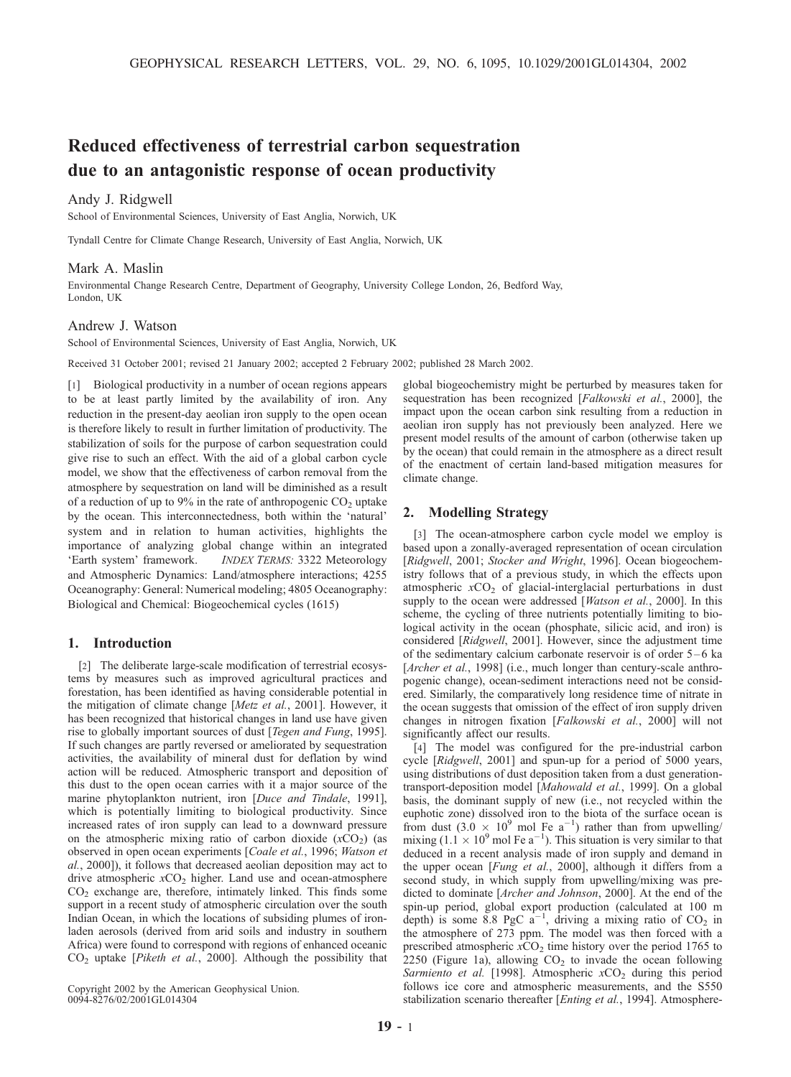# Reduced effectiveness of terrestrial carbon sequestration due to an antagonistic response of ocean productivity

# Andy J. Ridgwell

School of Environmental Sciences, University of East Anglia, Norwich, UK

Tyndall Centre for Climate Change Research, University of East Anglia, Norwich, UK

### Mark A. Maslin

Environmental Change Research Centre, Department of Geography, University College London, 26, Bedford Way, London, UK

#### Andrew J. Watson

School of Environmental Sciences, University of East Anglia, Norwich, UK

Received 31 October 2001; revised 21 January 2002; accepted 2 February 2002; published 28 March 2002.

[1] Biological productivity in a number of ocean regions appears to be at least partly limited by the availability of iron. Any reduction in the present-day aeolian iron supply to the open ocean is therefore likely to result in further limitation of productivity. The stabilization of soils for the purpose of carbon sequestration could give rise to such an effect. With the aid of a global carbon cycle model, we show that the effectiveness of carbon removal from the atmosphere by sequestration on land will be diminished as a result of a reduction of up to 9% in the rate of anthropogenic  $CO<sub>2</sub>$  uptake by the ocean. This interconnectedness, both within the 'natural' system and in relation to human activities, highlights the importance of analyzing global change within an integrated 'Earth system' framework. INDEX TERMS: 3322 Meteorology and Atmospheric Dynamics: Land/atmosphere interactions; 4255 Oceanography: General: Numerical modeling; 4805 Oceanography: Biological and Chemical: Biogeochemical cycles (1615)

## 1. Introduction

[2] The deliberate large-scale modification of terrestrial ecosystems by measures such as improved agricultural practices and forestation, has been identified as having considerable potential in the mitigation of climate change [Metz et al., 2001]. However, it has been recognized that historical changes in land use have given rise to globally important sources of dust [Tegen and Fung, 1995]. If such changes are partly reversed or ameliorated by sequestration activities, the availability of mineral dust for deflation by wind action will be reduced. Atmospheric transport and deposition of this dust to the open ocean carries with it a major source of the marine phytoplankton nutrient, iron [Duce and Tindale, 1991], which is potentially limiting to biological productivity. Since increased rates of iron supply can lead to a downward pressure on the atmospheric mixing ratio of carbon dioxide  $(xCO<sub>2</sub>)$  (as observed in open ocean experiments [Coale et al., 1996; Watson et al., 2000]), it follows that decreased aeolian deposition may act to drive atmospheric  $xCO<sub>2</sub>$  higher. Land use and ocean-atmosphere CO2 exchange are, therefore, intimately linked. This finds some support in a recent study of atmospheric circulation over the south Indian Ocean, in which the locations of subsiding plumes of ironladen aerosols (derived from arid soils and industry in southern Africa) were found to correspond with regions of enhanced oceanic  $CO<sub>2</sub>$  uptake [*Piketh et al.*, 2000]. Although the possibility that

Copyright 2002 by the American Geophysical Union. 0094-8276/02/2001GL014304

global biogeochemistry might be perturbed by measures taken for sequestration has been recognized [Falkowski et al., 2000], the impact upon the ocean carbon sink resulting from a reduction in aeolian iron supply has not previously been analyzed. Here we present model results of the amount of carbon (otherwise taken up by the ocean) that could remain in the atmosphere as a direct result of the enactment of certain land-based mitigation measures for climate change.

## 2. Modelling Strategy

[3] The ocean-atmosphere carbon cycle model we employ is based upon a zonally-averaged representation of ocean circulation [Ridgwell, 2001; Stocker and Wright, 1996]. Ocean biogeochemistry follows that of a previous study, in which the effects upon atmospheric  $xCO<sub>2</sub>$  of glacial-interglacial perturbations in dust supply to the ocean were addressed [Watson et al., 2000]. In this scheme, the cycling of three nutrients potentially limiting to biological activity in the ocean (phosphate, silicic acid, and iron) is considered [Ridgwell, 2001]. However, since the adjustment time of the sedimentary calcium carbonate reservoir is of order 5–6 ka [Archer et al., 1998] (i.e., much longer than century-scale anthropogenic change), ocean-sediment interactions need not be considered. Similarly, the comparatively long residence time of nitrate in the ocean suggests that omission of the effect of iron supply driven changes in nitrogen fixation [Falkowski et al., 2000] will not significantly affect our results.

[4] The model was configured for the pre-industrial carbon cycle [Ridgwell, 2001] and spun-up for a period of 5000 years, using distributions of dust deposition taken from a dust generationtransport-deposition model [Mahowald et al., 1999]. On a global basis, the dominant supply of new (i.e., not recycled within the euphotic zone) dissolved iron to the biota of the surface ocean is from dust  $(3.0 \times 10^9 \text{ mol Fe a}^{-1})$  rather than from upwelling/ mixing  $(1.1 \times 10^{9} \text{ mol Fe a}^{-1})$ . This situation is very similar to that deduced in a recent analysis made of iron supply and demand in the upper ocean [Fung et al., 2000], although it differs from a second study, in which supply from upwelling/mixing was predicted to dominate [Archer and Johnson, 2000]. At the end of the spin-up period, global export production (calculated at 100 m depth) is some 8.8 PgC  $a^{-1}$ , driving a mixing ratio of CO<sub>2</sub> in the atmosphere of 273 ppm. The model was then forced with a prescribed atmospheric  $xCO_2$  time history over the period 1765 to 2250 (Figure 1a), allowing  $CO<sub>2</sub>$  to invade the ocean following Sarmiento et al. [1998]. Atmospheric  $xCO<sub>2</sub>$  during this period follows ice core and atmospheric measurements, and the S550 stabilization scenario thereafter [*Enting et al.*, 1994]. Atmosphere-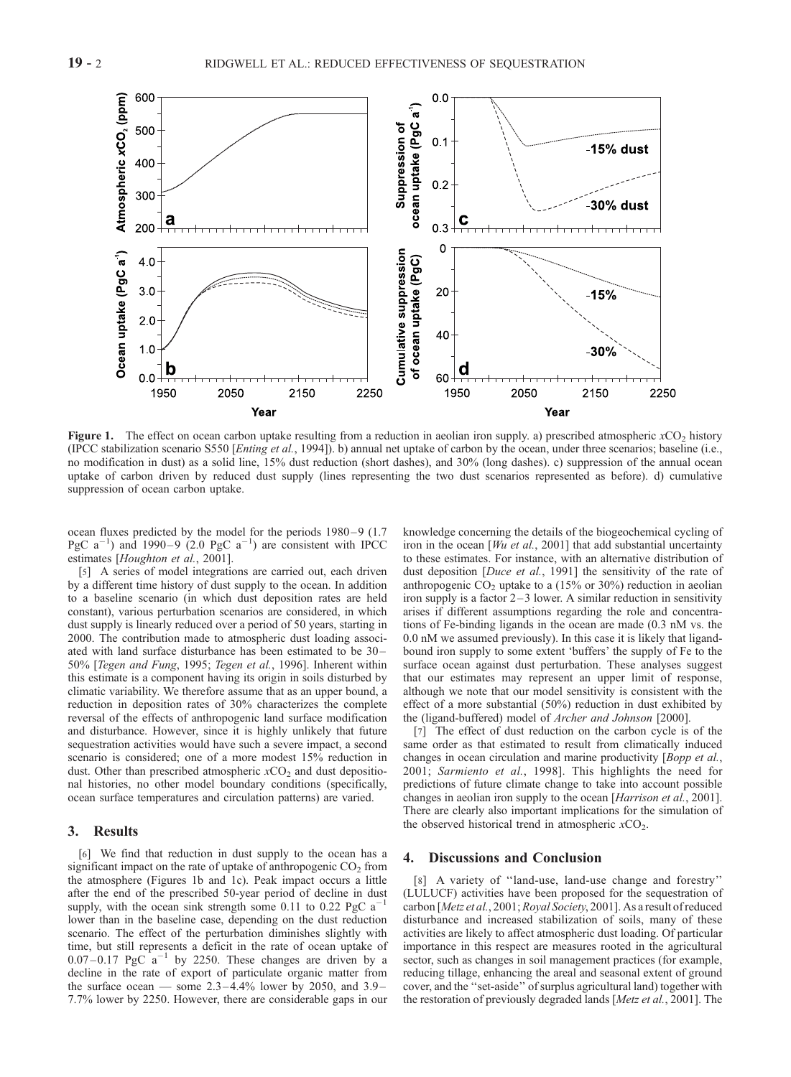

Figure 1. The effect on ocean carbon uptake resulting from a reduction in aeolian iron supply. a) prescribed atmospheric  $xCO<sub>2</sub>$  history (IPCC stabilization scenario S550 [*Enting et al.*, 1994]). b) annual net uptake of carbon by the ocean, under three scenarios; baseline (i.e., no modification in dust) as a solid line, 15% dust reduction (short dashes), and 30% (long dashes). c) suppression of the annual ocean uptake of carbon driven by reduced dust supply (lines representing the two dust scenarios represented as before). d) cumulative suppression of ocean carbon uptake.

ocean fluxes predicted by the model for the periods 1980-9 (1.7) PgC  $a^{-1}$ ) and 1990–9 (2.0 PgC  $a^{-1}$ ) are consistent with IPCC estimates [Houghton et al., 2001].

[5] A series of model integrations are carried out, each driven by a different time history of dust supply to the ocean. In addition to a baseline scenario (in which dust deposition rates are held constant), various perturbation scenarios are considered, in which dust supply is linearly reduced over a period of 50 years, starting in 2000. The contribution made to atmospheric dust loading associated with land surface disturbance has been estimated to be 30 – 50% [Tegen and Fung, 1995; Tegen et al., 1996]. Inherent within this estimate is a component having its origin in soils disturbed by climatic variability. We therefore assume that as an upper bound, a reduction in deposition rates of 30% characterizes the complete reversal of the effects of anthropogenic land surface modification and disturbance. However, since it is highly unlikely that future sequestration activities would have such a severe impact, a second scenario is considered; one of a more modest 15% reduction in dust. Other than prescribed atmospheric  $xCO_2$  and dust depositional histories, no other model boundary conditions (specifically, ocean surface temperatures and circulation patterns) are varied.

## 3. Results

[6] We find that reduction in dust supply to the ocean has a significant impact on the rate of uptake of anthropogenic  $CO<sub>2</sub>$  from the atmosphere (Figures 1b and 1c). Peak impact occurs a little after the end of the prescribed 50-year period of decline in dust supply, with the ocean sink strength some 0.11 to 0.22 PgC  $a^-$ 1 lower than in the baseline case, depending on the dust reduction scenario. The effect of the perturbation diminishes slightly with time, but still represents a deficit in the rate of ocean uptake of  $0.07 - 0.17$  PgC  $a^{-1}$  by 2250. These changes are driven by a decline in the rate of export of particulate organic matter from the surface ocean — some  $2.3 - 4.4\%$  lower by 2050, and 3.9-7.7% lower by 2250. However, there are considerable gaps in our

knowledge concerning the details of the biogeochemical cycling of iron in the ocean  $[Wu \text{ et al.}, 2001]$  that add substantial uncertainty to these estimates. For instance, with an alternative distribution of dust deposition [*Duce et al.*, 1991] the sensitivity of the rate of anthropogenic  $CO<sub>2</sub>$  uptake to a (15% or 30%) reduction in aeolian iron supply is a factor  $2-3$  lower. A similar reduction in sensitivity arises if different assumptions regarding the role and concentrations of Fe-binding ligands in the ocean are made (0.3 nM vs. the 0.0 nM we assumed previously). In this case it is likely that ligandbound iron supply to some extent 'buffers' the supply of Fe to the surface ocean against dust perturbation. These analyses suggest that our estimates may represent an upper limit of response, although we note that our model sensitivity is consistent with the effect of a more substantial (50%) reduction in dust exhibited by the (ligand-buffered) model of Archer and Johnson [2000].

[7] The effect of dust reduction on the carbon cycle is of the same order as that estimated to result from climatically induced changes in ocean circulation and marine productivity [Bopp et al., 2001; Sarmiento et al., 1998]. This highlights the need for predictions of future climate change to take into account possible changes in aeolian iron supply to the ocean [Harrison et al., 2001]. There are clearly also important implications for the simulation of the observed historical trend in atmospheric  $xCO<sub>2</sub>$ .

## 4. Discussions and Conclusion

[8] A variety of "land-use, land-use change and forestry" (LULUCF) activities have been proposed for the sequestration of carbon [Metz et al., 2001; Royal Society, 2001]. As a result of reduced disturbance and increased stabilization of soils, many of these activities are likely to affect atmospheric dust loading. Of particular importance in this respect are measures rooted in the agricultural sector, such as changes in soil management practices (for example, reducing tillage, enhancing the areal and seasonal extent of ground cover, and the ''set-aside'' of surplus agricultural land) together with the restoration of previously degraded lands [Metz et al., 2001]. The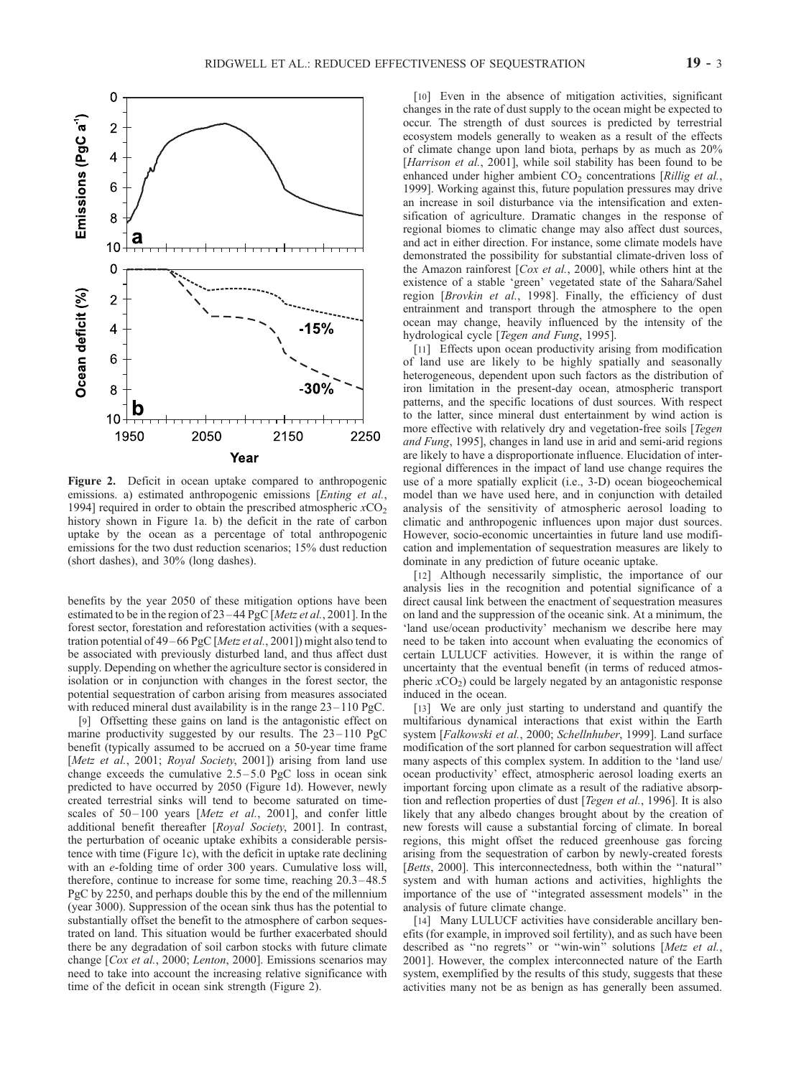

Figure 2. Deficit in ocean uptake compared to anthropogenic emissions. a) estimated anthropogenic emissions [Enting et al., 1994] required in order to obtain the prescribed atmospheric  $xCO<sub>2</sub>$ history shown in Figure 1a. b) the deficit in the rate of carbon uptake by the ocean as a percentage of total anthropogenic emissions for the two dust reduction scenarios; 15% dust reduction (short dashes), and 30% (long dashes).

benefits by the year 2050 of these mitigation options have been estimated to be in the region of 23 – 44 PgC [Metz et al., 2001]. In the forest sector, forestation and reforestation activities (with a sequestration potential of 49 – 66 PgC [Metz et al., 2001]) might also tend to be associated with previously disturbed land, and thus affect dust supply. Depending on whether the agriculture sector is considered in isolation or in conjunction with changes in the forest sector, the potential sequestration of carbon arising from measures associated with reduced mineral dust availability is in the range  $23 - 110$  PgC.

[9] Offsetting these gains on land is the antagonistic effect on marine productivity suggested by our results. The  $23-110$  PgC benefit (typically assumed to be accrued on a 50-year time frame [Metz et al., 2001; Royal Society, 2001]) arising from land use change exceeds the cumulative  $2.5 - 5.0$  PgC loss in ocean sink predicted to have occurred by 2050 (Figure 1d). However, newly created terrestrial sinks will tend to become saturated on timescales of 50-100 years [Metz et al., 2001], and confer little additional benefit thereafter [Royal Society, 2001]. In contrast, the perturbation of oceanic uptake exhibits a considerable persistence with time (Figure 1c), with the deficit in uptake rate declining with an e-folding time of order 300 years. Cumulative loss will, therefore, continue to increase for some time, reaching 20.3 – 48.5 PgC by 2250, and perhaps double this by the end of the millennium (year 3000). Suppression of the ocean sink thus has the potential to substantially offset the benefit to the atmosphere of carbon sequestrated on land. This situation would be further exacerbated should there be any degradation of soil carbon stocks with future climate change [Cox et al., 2000; Lenton, 2000]. Emissions scenarios may need to take into account the increasing relative significance with time of the deficit in ocean sink strength (Figure 2).

[10] Even in the absence of mitigation activities, significant changes in the rate of dust supply to the ocean might be expected to occur. The strength of dust sources is predicted by terrestrial ecosystem models generally to weaken as a result of the effects of climate change upon land biota, perhaps by as much as 20% [Harrison et al., 2001], while soil stability has been found to be enhanced under higher ambient  $CO<sub>2</sub>$  concentrations [Rillig et al., 1999]. Working against this, future population pressures may drive an increase in soil disturbance via the intensification and extensification of agriculture. Dramatic changes in the response of regional biomes to climatic change may also affect dust sources, and act in either direction. For instance, some climate models have demonstrated the possibility for substantial climate-driven loss of the Amazon rainforest [Cox et al., 2000], while others hint at the existence of a stable 'green' vegetated state of the Sahara/Sahel region [Brovkin et al., 1998]. Finally, the efficiency of dust entrainment and transport through the atmosphere to the open ocean may change, heavily influenced by the intensity of the hydrological cycle [Tegen and Fung, 1995].

[11] Effects upon ocean productivity arising from modification of land use are likely to be highly spatially and seasonally heterogeneous, dependent upon such factors as the distribution of iron limitation in the present-day ocean, atmospheric transport patterns, and the specific locations of dust sources. With respect to the latter, since mineral dust entertainment by wind action is more effective with relatively dry and vegetation-free soils [Tegen and Fung, 1995], changes in land use in arid and semi-arid regions are likely to have a disproportionate influence. Elucidation of interregional differences in the impact of land use change requires the use of a more spatially explicit (i.e., 3-D) ocean biogeochemical model than we have used here, and in conjunction with detailed analysis of the sensitivity of atmospheric aerosol loading to climatic and anthropogenic influences upon major dust sources. However, socio-economic uncertainties in future land use modification and implementation of sequestration measures are likely to dominate in any prediction of future oceanic uptake.

[12] Although necessarily simplistic, the importance of our analysis lies in the recognition and potential significance of a direct causal link between the enactment of sequestration measures on land and the suppression of the oceanic sink. At a minimum, the 'land use/ocean productivity' mechanism we describe here may need to be taken into account when evaluating the economics of certain LULUCF activities. However, it is within the range of uncertainty that the eventual benefit (in terms of reduced atmospheric  $xCO<sub>2</sub>$ ) could be largely negated by an antagonistic response induced in the ocean.

[13] We are only just starting to understand and quantify the multifarious dynamical interactions that exist within the Earth system [Falkowski et al., 2000; Schellnhuber, 1999]. Land surface modification of the sort planned for carbon sequestration will affect many aspects of this complex system. In addition to the 'land use/ ocean productivity' effect, atmospheric aerosol loading exerts an important forcing upon climate as a result of the radiative absorption and reflection properties of dust [Tegen et al., 1996]. It is also likely that any albedo changes brought about by the creation of new forests will cause a substantial forcing of climate. In boreal regions, this might offset the reduced greenhouse gas forcing arising from the sequestration of carbon by newly-created forests [Betts, 2000]. This interconnectedness, both within the ''natural'' system and with human actions and activities, highlights the importance of the use of ''integrated assessment models'' in the analysis of future climate change.

[14] Many LULUCF activities have considerable ancillary benefits (for example, in improved soil fertility), and as such have been described as "no regrets" or "win-win" solutions [Metz et al., 2001]. However, the complex interconnected nature of the Earth system, exemplified by the results of this study, suggests that these activities many not be as benign as has generally been assumed.